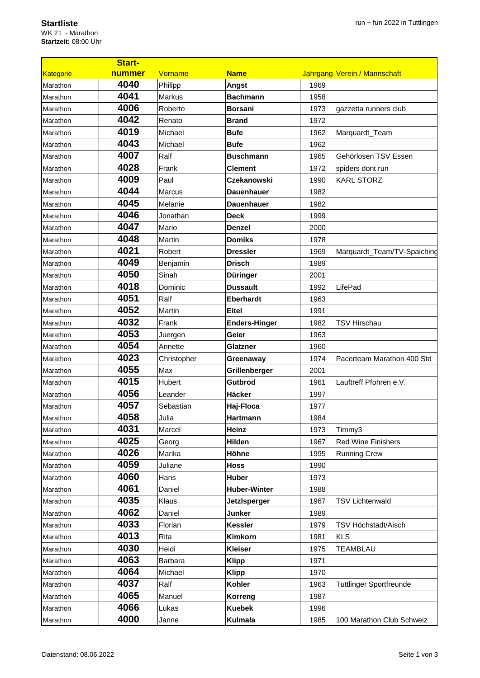## **Startliste**

WK 21 - Marathon **Startzeit:** 08:00 Uhr

|           | <b>Start-</b> |                |                      |      |                                |
|-----------|---------------|----------------|----------------------|------|--------------------------------|
| Kategorie | nummer        | Vorname        | <b>Name</b>          |      | Jahrgang Verein / Mannschaft   |
| Marathon  | 4040          | Philipp        | Angst                | 1969 |                                |
| Marathon  | 4041          | Markus         | <b>Bachmann</b>      | 1958 |                                |
| Marathon  | 4006          | Roberto        | <b>Borsani</b>       | 1973 | gazzetta runners club          |
| Marathon  | 4042          | Renato         | <b>Brand</b>         | 1972 |                                |
| Marathon  | 4019          | Michael        | <b>Bufe</b>          | 1962 | Marquardt_Team                 |
| Marathon  | 4043          | Michael        | <b>Bufe</b>          | 1962 |                                |
| Marathon  | 4007          | Ralf           | <b>Buschmann</b>     | 1965 | Gehörlosen TSV Essen           |
| Marathon  | 4028          | Frank          | <b>Clement</b>       | 1972 | spiders dont run               |
| Marathon  | 4009          | Paul           | <b>Czekanowski</b>   | 1990 | <b>KARL STORZ</b>              |
| Marathon  | 4044          | Marcus         | <b>Dauenhauer</b>    | 1982 |                                |
| Marathon  | 4045          | Melanie        | <b>Dauenhauer</b>    | 1982 |                                |
| Marathon  | 4046          | Jonathan       | <b>Deck</b>          | 1999 |                                |
| Marathon  | 4047          | Mario          | <b>Denzel</b>        | 2000 |                                |
| Marathon  | 4048          | Martin         | <b>Domiks</b>        | 1978 |                                |
| Marathon  | 4021          | Robert         | <b>Dressler</b>      | 1969 | Marquardt_Team/TV-Spaiching    |
| Marathon  | 4049          | Benjamin       | <b>Drisch</b>        | 1989 |                                |
| Marathon  | 4050          | Sinah          | <b>Düringer</b>      | 2001 |                                |
| Marathon  | 4018          | Dominic        | <b>Dussault</b>      | 1992 | LifePad                        |
| Marathon  | 4051          | Ralf           | <b>Eberhardt</b>     | 1963 |                                |
| Marathon  | 4052          | Martin         | <b>Eitel</b>         | 1991 |                                |
| Marathon  | 4032          | Frank          | <b>Enders-Hinger</b> | 1982 | <b>TSV Hirschau</b>            |
| Marathon  | 4053          | Juergen        | Geier                | 1963 |                                |
| Marathon  | 4054          | Annette        | Glatzner             | 1960 |                                |
| Marathon  | 4023          | Christopher    | Greenaway            | 1974 | Pacerteam Marathon 400 Std     |
| Marathon  | 4055          | Max            | Grillenberger        | 2001 |                                |
| Marathon  | 4015          | Hubert         | Gutbrod              | 1961 | Lauftreff Pfohren e.V.         |
| Marathon  | 4056          | Leander        | Häcker               | 1997 |                                |
| Marathon  | 4057          | Sebastian      | Haj-Floca            | 1977 |                                |
| Marathon  | 4058          | Julia          | Hartmann             | 1984 |                                |
| Marathon  | 4031          | Marcel         | Heinz                | 1973 | Timmy3                         |
| Marathon  | 4025          | Georg          | Hilden               | 1967 | <b>Red Wine Finishers</b>      |
| Marathon  | 4026          | Marika         | Höhne                | 1995 | <b>Running Crew</b>            |
| Marathon  | 4059          | Juliane        | <b>Hoss</b>          | 1990 |                                |
| Marathon  | 4060          | Hans           | Huber                | 1973 |                                |
| Marathon  | 4061          | Daniel         | <b>Huber-Winter</b>  | 1988 |                                |
| Marathon  | 4035          | Klaus          | <b>JetzIsperger</b>  | 1967 | <b>TSV Lichtenwald</b>         |
| Marathon  | 4062          | Daniel         | Junker               | 1989 |                                |
| Marathon  | 4033          | Florian        | <b>Kessler</b>       | 1979 | TSV Höchstadt/Aisch            |
| Marathon  | 4013          | Rita           | Kimkorn              | 1981 | <b>KLS</b>                     |
| Marathon  | 4030          | Heidi          | <b>Kleiser</b>       | 1975 | <b>TEAMBLAU</b>                |
| Marathon  | 4063          | <b>Barbara</b> | <b>Klipp</b>         | 1971 |                                |
| Marathon  | 4064          | Michael        | <b>Klipp</b>         | 1970 |                                |
| Marathon  | 4037          | Ralf           | Kohler               | 1963 | <b>Tuttlinger Sportfreunde</b> |
| Marathon  | 4065          | Manuel         | Korreng              | 1987 |                                |
| Marathon  | 4066          | Lukas          | <b>Kuebek</b>        | 1996 |                                |
|           | 4000          |                |                      |      |                                |
| Marathon  |               | Janne          | <b>Kulmala</b>       | 1985 | 100 Marathon Club Schweiz      |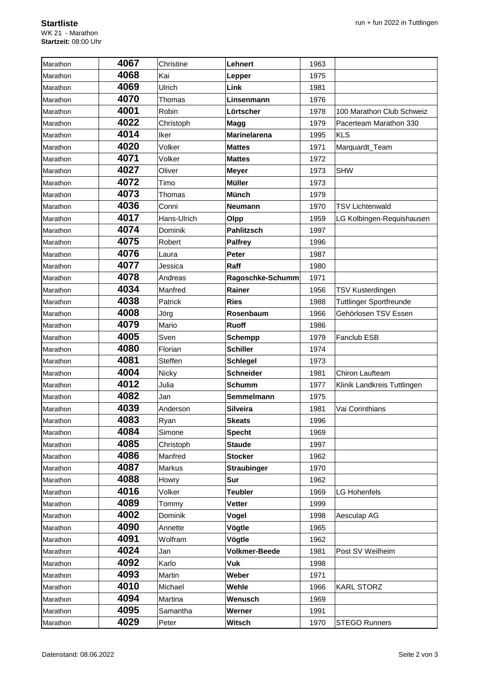| Marathon | 4067 | Christine   | Lehnert              | 1963 |                                |
|----------|------|-------------|----------------------|------|--------------------------------|
| Marathon | 4068 | Kai         | Lepper               | 1975 |                                |
| Marathon | 4069 | Ulrich      | Link                 | 1981 |                                |
| Marathon | 4070 | Thomas      | Linsenmann           | 1976 |                                |
| Marathon | 4001 | Robin       | Lörtscher            | 1978 | 100 Marathon Club Schweiz      |
| Marathon | 4022 | Christoph   | Magg                 | 1979 | Pacerteam Marathon 330         |
| Marathon | 4014 | Iker        | <b>Marinelarena</b>  | 1995 | <b>KLS</b>                     |
| Marathon | 4020 | Volker      | <b>Mattes</b>        | 1971 | Marquardt_Team                 |
| Marathon | 4071 | Volker      | <b>Mattes</b>        | 1972 |                                |
| Marathon | 4027 | Oliver      | <b>Meyer</b>         | 1973 | <b>SHW</b>                     |
| Marathon | 4072 | Timo        | <b>Müller</b>        | 1973 |                                |
| Marathon | 4073 | Thomas      | <b>Münch</b>         | 1979 |                                |
| Marathon | 4036 | Conni       | <b>Neumann</b>       | 1970 | <b>TSV Lichtenwald</b>         |
| Marathon | 4017 | Hans-Ulrich | Olpp                 | 1959 | LG Kolbingen-Requishausen      |
| Marathon | 4074 | Dominik     | <b>Pahlitzsch</b>    | 1997 |                                |
| Marathon | 4075 | Robert      | <b>Palfrey</b>       | 1996 |                                |
| Marathon | 4076 | Laura       | <b>Peter</b>         | 1987 |                                |
| Marathon | 4077 | Jessica     | Raff                 | 1980 |                                |
| Marathon | 4078 | Andreas     | Ragoschke-Schumm     | 1971 |                                |
| Marathon | 4034 | Manfred     | Rainer               | 1956 | TSV Kusterdingen               |
| Marathon | 4038 | Patrick     | <b>Ries</b>          | 1988 | <b>Tuttlinger Sportfreunde</b> |
| Marathon | 4008 | Jörg        | Rosenbaum            | 1966 | Gehörlosen TSV Essen           |
| Marathon | 4079 | Mario       | <b>Ruoff</b>         | 1986 |                                |
| Marathon | 4005 | Sven        | <b>Schempp</b>       | 1979 | Fanclub ESB                    |
| Marathon | 4080 | Florian     | <b>Schiller</b>      | 1974 |                                |
| Marathon | 4081 | Steffen     | <b>Schlegel</b>      | 1973 |                                |
| Marathon | 4004 | Nicky       | <b>Schneider</b>     | 1981 | <b>Chiron Laufteam</b>         |
| Marathon | 4012 | Julia       | <b>Schumm</b>        | 1977 | Klinik Landkreis Tuttlingen    |
| Marathon | 4082 | Jan         | Semmelmann           | 1975 |                                |
| Marathon | 4039 | Anderson    | <b>Silveira</b>      | 1981 | Vai Corinthians                |
| Marathon | 4083 | Ryan        | <b>Skeats</b>        | 1996 |                                |
| Marathon | 4084 | Simone      | <b>Specht</b>        | 1969 |                                |
| Marathon | 4085 | Christoph   | <b>Staude</b>        | 1997 |                                |
| Marathon | 4086 | Manfred     | <b>Stocker</b>       | 1962 |                                |
| Marathon | 4087 | Markus      | <b>Straubinger</b>   | 1970 |                                |
| Marathon | 4088 | Howry       | Sur                  | 1962 |                                |
| Marathon | 4016 | Volker      | <b>Teubler</b>       | 1969 | <b>LG Hohenfels</b>            |
| Marathon | 4089 | Tommy       | <b>Vetter</b>        | 1999 |                                |
| Marathon | 4002 | Dominik     | Vogel                | 1998 | Aesculap AG                    |
| Marathon | 4090 | Annette     | Vögtle               | 1965 |                                |
| Marathon | 4091 | Wolfram     | Vögtle               | 1962 |                                |
| Marathon | 4024 | Jan         | <b>Volkmer-Beede</b> | 1981 | Post SV Weilheim               |
| Marathon | 4092 | Karlo       | <b>Vuk</b>           | 1998 |                                |
| Marathon | 4093 | Martin      | Weber                | 1971 |                                |
| Marathon | 4010 | Michael     | Wehle                | 1966 | <b>KARL STORZ</b>              |
| Marathon | 4094 | Martina     | Wenusch              | 1969 |                                |
| Marathon | 4095 | Samantha    | Werner               | 1991 |                                |
| Marathon | 4029 | Peter       | Witsch               | 1970 | <b>STEGO Runners</b>           |